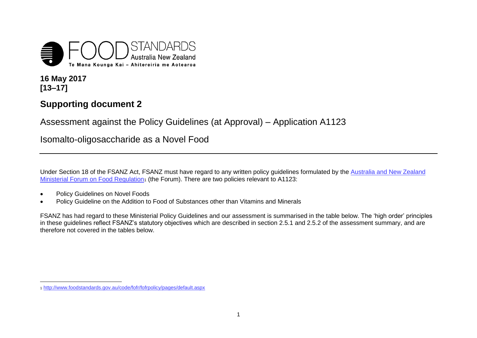

**16 May 2017 [13–17]**

 $\overline{a}$ 

## **Supporting document 2**

Assessment against the Policy Guidelines (at Approval) – Application A1123

Isomalto-oligosaccharide as a Novel Food

Under Section 18 of the FSANZ Act, FSANZ must have regard to any written policy guidelines formulated by th[e Australia and New Zealand](http://www.foodstandards.gov.au/code/fofr/fofrpolicy/pages/default.aspx)  [Ministerial Forum on Food Regulation](http://www.foodstandards.gov.au/code/fofr/fofrpolicy/pages/default.aspx)1 (the Forum). There are two policies relevant to A1123:

- **•** Policy Guidelines on Novel Foods
- Policy Guideline on the Addition to Food of Substances other than Vitamins and Minerals

FSANZ has had regard to these Ministerial Policy Guidelines and our assessment is summarised in the table below. The 'high order' principles in these guidelines reflect FSANZ's statutory objectives which are described in section 2.5.1 and 2.5.2 of the assessment summary, and are therefore not covered in the tables below.

<sup>1</sup> <http://www.foodstandards.gov.au/code/fofr/fofrpolicy/pages/default.aspx>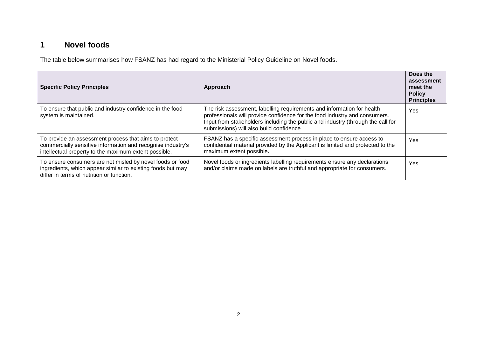## **1 Novel foods**

The table below summarises how FSANZ has had regard to the Ministerial Policy Guideline on Novel foods.

| <b>Specific Policy Principles</b>                                                                                                                                             | Approach                                                                                                                                                                                                                                                                            | Does the<br>assessment<br>meet the<br><b>Policy</b><br><b>Principles</b> |
|-------------------------------------------------------------------------------------------------------------------------------------------------------------------------------|-------------------------------------------------------------------------------------------------------------------------------------------------------------------------------------------------------------------------------------------------------------------------------------|--------------------------------------------------------------------------|
| To ensure that public and industry confidence in the food<br>system is maintained.                                                                                            | The risk assessment, labelling requirements and information for health<br>professionals will provide confidence for the food industry and consumers.<br>Input from stakeholders including the public and industry (through the call for<br>submissions) will also build confidence. | Yes                                                                      |
| To provide an assessment process that aims to protect<br>commercially sensitive information and recognise industry's<br>intellectual property to the maximum extent possible. | FSANZ has a specific assessment process in place to ensure access to<br>confidential material provided by the Applicant is limited and protected to the<br>maximum extent possible.                                                                                                 | Yes                                                                      |
| To ensure consumers are not misled by novel foods or food<br>ingredients, which appear similar to existing foods but may<br>differ in terms of nutrition or function.         | Novel foods or ingredients labelling requirements ensure any declarations<br>and/or claims made on labels are truthful and appropriate for consumers.                                                                                                                               | Yes                                                                      |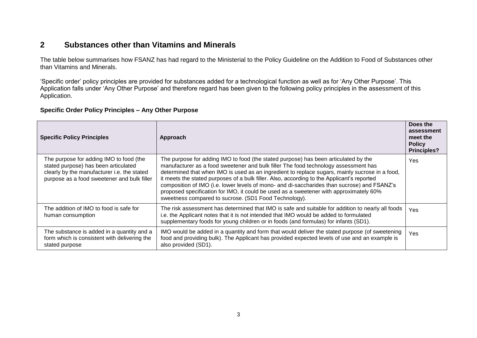## **2 Substances other than Vitamins and Minerals**

The table below summarises how FSANZ has had regard to the Ministerial to the Policy Guideline on the Addition to Food of Substances other than Vitamins and Minerals.

'Specific order' policy principles are provided for substances added for a technological function as well as for 'Any Other Purpose'. This Application falls under 'Any Other Purpose' and therefore regard has been given to the following policy principles in the assessment of this Application.

## **Specific Order Policy Principles – Any Other Purpose**

| <b>Specific Policy Principles</b>                                                                                                                                             | Approach                                                                                                                                                                                                                                                                                                                                                                                                                                                                                                                                                                                                                     | Does the<br>assessment<br>meet the<br><b>Policy</b><br><b>Principles?</b> |
|-------------------------------------------------------------------------------------------------------------------------------------------------------------------------------|------------------------------------------------------------------------------------------------------------------------------------------------------------------------------------------------------------------------------------------------------------------------------------------------------------------------------------------------------------------------------------------------------------------------------------------------------------------------------------------------------------------------------------------------------------------------------------------------------------------------------|---------------------------------------------------------------------------|
| The purpose for adding IMO to food (the<br>stated purpose) has been articulated<br>clearly by the manufacturer i.e. the stated<br>purpose as a food sweetener and bulk filler | The purpose for adding IMO to food (the stated purpose) has been articulated by the<br>manufacturer as a food sweetener and bulk filler The food technology assessment has<br>determined that when IMO is used as an ingredient to replace sugars, mainly sucrose in a food,<br>it meets the stated purposes of a bulk filler. Also, according to the Applicant's reported<br>composition of IMO (i.e. lower levels of mono- and di-saccharides than sucrose) and FSANZ's<br>proposed specification for IMO, it could be used as a sweetener with approximately 60%<br>sweetness compared to sucrose. (SD1 Food Technology). | Yes                                                                       |
| The addition of IMO to food is safe for<br>human consumption                                                                                                                  | The risk assessment has determined that IMO is safe and suitable for addition to nearly all foods<br>i.e. the Applicant notes that it is not intended that IMO would be added to formulated<br>supplementary foods for young children or in foods (and formulas) for infants (SD1).                                                                                                                                                                                                                                                                                                                                          | Yes                                                                       |
| The substance is added in a quantity and a<br>form which is consistent with delivering the<br>stated purpose                                                                  | IMO would be added in a quantity and form that would deliver the stated purpose (of sweetening<br>food and providing bulk). The Applicant has provided expected levels of use and an example is<br>also provided (SD1).                                                                                                                                                                                                                                                                                                                                                                                                      | Yes                                                                       |